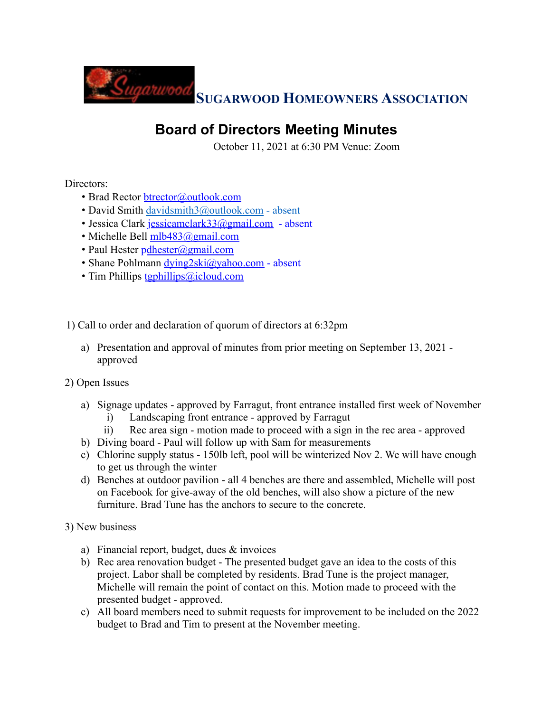

## **Board of Directors Meeting Minutes**

October 11, 2021 at 6:30 PM Venue: Zoom

Directors:

- Brad Rector btrector@outlook.com
- David Smith davidsmith3@outlook.com absent
- Jessica Clark jessicamclark33@gmail.com absent
- Michelle Bell mlb483@gmail.com
- Paul Hester pdhester@gmail.com
- Shane Pohlmann dying2ski@yahoo.com absent
- Tim Phillips tgphillips@icloud.com

1) Call to order and declaration of quorum of directors at 6:32pm

a) Presentation and approval of minutes from prior meeting on September 13, 2021 approved

2) Open Issues

- a) Signage updates approved by Farragut, front entrance installed first week of November i) Landscaping front entrance - approved by Farragut
	- ii) Rec area sign motion made to proceed with a sign in the rec area approved
- b) Diving board Paul will follow up with Sam for measurements
- c) Chlorine supply status 150lb left, pool will be winterized Nov 2. We will have enough to get us through the winter
- d) Benches at outdoor pavilion all 4 benches are there and assembled, Michelle will post on Facebook for give-away of the old benches, will also show a picture of the new furniture. Brad Tune has the anchors to secure to the concrete.

3) New business

- a) Financial report, budget, dues & invoices
- b) Rec area renovation budget The presented budget gave an idea to the costs of this project. Labor shall be completed by residents. Brad Tune is the project manager, Michelle will remain the point of contact on this. Motion made to proceed with the presented budget - approved.
- c) All board members need to submit requests for improvement to be included on the 2022 budget to Brad and Tim to present at the November meeting.